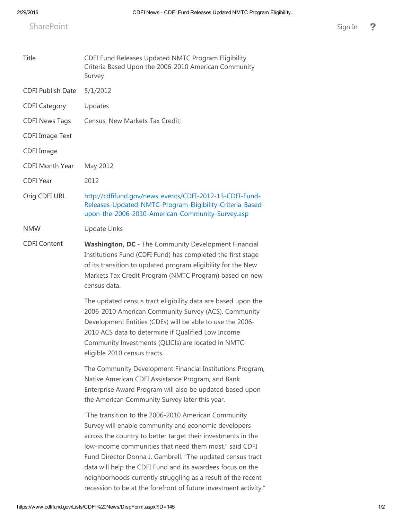SharePoint SharePoint [Sign](https://www.cdfifund.gov/_layouts/15/Authenticate.aspx?Source=%2FLists%2FCDFI%20News%2FDispForm%2Easpx%3FID%3D145) In Sign In Sign In Sign In Sign In Sign In Sign In Sign In Sign In Sign In Sign In Sign In Sign In Sign In Sign In Sign In Sign In Sign In Sign In Sign In Sign In Sign In Sign In Sign In Sign In

| Title                    | CDFI Fund Releases Updated NMTC Program Eligibility<br>Criteria Based Upon the 2006-2010 American Community<br>Survey                                                                                                                                                                                                                                                                                                                                                                                 |
|--------------------------|-------------------------------------------------------------------------------------------------------------------------------------------------------------------------------------------------------------------------------------------------------------------------------------------------------------------------------------------------------------------------------------------------------------------------------------------------------------------------------------------------------|
| <b>CDFI Publish Date</b> | 5/1/2012                                                                                                                                                                                                                                                                                                                                                                                                                                                                                              |
| <b>CDFI Category</b>     | Updates                                                                                                                                                                                                                                                                                                                                                                                                                                                                                               |
| <b>CDFI News Tags</b>    | Census; New Markets Tax Credit;                                                                                                                                                                                                                                                                                                                                                                                                                                                                       |
| <b>CDFI Image Text</b>   |                                                                                                                                                                                                                                                                                                                                                                                                                                                                                                       |
| CDFI Image               |                                                                                                                                                                                                                                                                                                                                                                                                                                                                                                       |
| <b>CDFI Month Year</b>   | May 2012                                                                                                                                                                                                                                                                                                                                                                                                                                                                                              |
| <b>CDFI Year</b>         | 2012                                                                                                                                                                                                                                                                                                                                                                                                                                                                                                  |
| Orig CDFI URL            | http://cdfifund.gov/news_events/CDFI-2012-13-CDFI-Fund-<br>Releases-Updated-NMTC-Program-Eligibility-Criteria-Based-<br>upon-the-2006-2010-American-Community-Survey.asp                                                                                                                                                                                                                                                                                                                              |
| <b>NMW</b>               | <b>Update Links</b>                                                                                                                                                                                                                                                                                                                                                                                                                                                                                   |
| <b>CDFI Content</b>      | Washington, DC - The Community Development Financial<br>Institutions Fund (CDFI Fund) has completed the first stage<br>of its transition to updated program eligibility for the New<br>Markets Tax Credit Program (NMTC Program) based on new<br>census data.                                                                                                                                                                                                                                         |
|                          | The updated census tract eligibility data are based upon the<br>2006-2010 American Community Survey (ACS). Community<br>Development Entities (CDEs) will be able to use the 2006-<br>2010 ACS data to determine if Qualified Low Income<br>Community Investments (QLICIs) are located in NMTC-<br>eligible 2010 census tracts.                                                                                                                                                                        |
|                          | The Community Development Financial Institutions Program,<br>Native American CDFI Assistance Program, and Bank<br>Enterprise Award Program will also be updated based upon<br>the American Community Survey later this year.                                                                                                                                                                                                                                                                          |
|                          | "The transition to the 2006-2010 American Community<br>Survey will enable community and economic developers<br>across the country to better target their investments in the<br>low-income communities that need them most," said CDFI<br>Fund Director Donna J. Gambrell. "The updated census tract<br>data will help the CDFI Fund and its awardees focus on the<br>neighborhoods currently struggling as a result of the recent<br>recession to be at the forefront of future investment activity." |